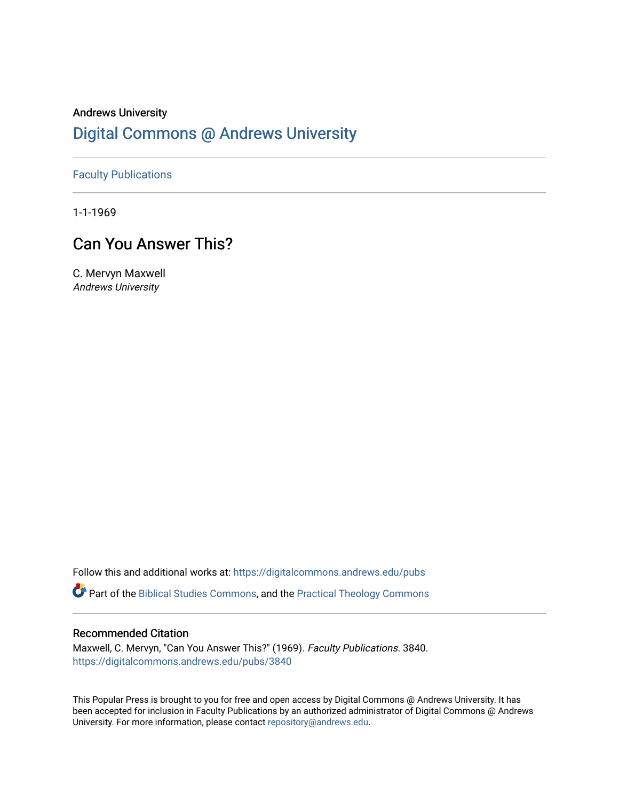# Andrews University [Digital Commons @ Andrews University](https://digitalcommons.andrews.edu/)

### [Faculty Publications](https://digitalcommons.andrews.edu/pubs)

1-1-1969

# Can You Answer This?

C. Mervyn Maxwell Andrews University

Follow this and additional works at: [https://digitalcommons.andrews.edu/pubs](https://digitalcommons.andrews.edu/pubs?utm_source=digitalcommons.andrews.edu%2Fpubs%2F3840&utm_medium=PDF&utm_campaign=PDFCoverPages) 

Part of the [Biblical Studies Commons,](http://network.bepress.com/hgg/discipline/539?utm_source=digitalcommons.andrews.edu%2Fpubs%2F3840&utm_medium=PDF&utm_campaign=PDFCoverPages) and the [Practical Theology Commons](http://network.bepress.com/hgg/discipline/1186?utm_source=digitalcommons.andrews.edu%2Fpubs%2F3840&utm_medium=PDF&utm_campaign=PDFCoverPages) 

#### Recommended Citation

Maxwell, C. Mervyn, "Can You Answer This?" (1969). Faculty Publications. 3840. [https://digitalcommons.andrews.edu/pubs/3840](https://digitalcommons.andrews.edu/pubs/3840?utm_source=digitalcommons.andrews.edu%2Fpubs%2F3840&utm_medium=PDF&utm_campaign=PDFCoverPages) 

This Popular Press is brought to you for free and open access by Digital Commons @ Andrews University. It has been accepted for inclusion in Faculty Publications by an authorized administrator of Digital Commons @ Andrews University. For more information, please contact [repository@andrews.edu](mailto:repository@andrews.edu).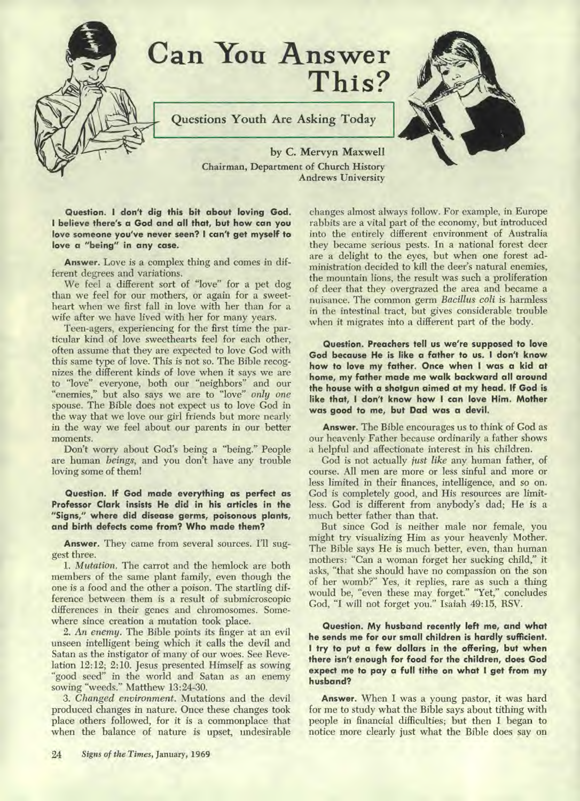

**Questions Youth Are Asking Today** 



**by C. Mervyn Maxwell Chairman, Department of Church History Andrews University** 

**Question. I don't dig this bit about loving God. I believe there's a God and all that, but how can you love someone you've never seen? I can't get myself to love a "being" in any case.** 

**Answer.** Love is a complex thing and comes in different degrees and variations.

We feel a different sort of "love" for a pet dog than we feel for our mothers, or again for a sweetheart when we first fall in love with her than for a wife after we have lived with her for many years.

Teen-agers, experiencing for the first time the particular kind of love sweethearts feel for each other, often assume that they are expected to love God with this same type of love. This is not so. The Bible recognizes the different kinds of love when it says we are to "love" everyone, both our "neighbors" and our "enemies," but also says we are to "love" *only one*  spouse. The Bible does not expect us to love God in the way that we love our girl friends but more nearly in the way we feel about our parents in our better moments.

Don't worry about God's being a "being." People are human *beings,* and you don't have any trouble loving some of them!

**Question. If God made everything as perfect as Professor Clark insists He did in his articles in the "Signs," where did disease germs, poisonous plants, and birth defects come from? Who made them?** 

**Answer.** They came from several sources. I'll suggest three.

*1. Mutation.* The carrot and the hemlock are both members of the same plant family, even though the one is a food and the other a poison. The startling difference between them is a result of submicroscopic differences in their genes and chromosomes. Somewhere since creation a mutation took place.

2. An *enemy.* The Bible points its finger at an evil unseen intelligent being which it calls the devil and Satan as the instigator of many of our woes. See Revelation **12:12; 2:10.** Jesus presented Himself as sowing "good seed" in the world and Satan as an enemy sowing "weeds." Matthew 13:24-30.

*3. Changed environment.* Mutations and the devil produced changes in nature. Once these changes took place others followed, for it is a commonplace that when the balance of nature is upset, undesirable

24 *Signs of the Times,* **January, 1969** 

changes almost always follow. For example, in Europe rabbits are a vital part of the economy, but introduced into the entirely different environment of Australia they became serious pests. In a national forest deer are a delight to the eyes, but when one forest administration decided to kill the deer's natural enemies, the mountain lions, the result was such a proliferation of deer that they overgrazed the area and became a nuisance. The common germ *Bacillus coli* is harmless in the intestinal tract, but gives considerable trouble when it migrates into a different part of the body.

**Question. Preachers tell us we're supposed to love God because He is like a father to us. I don't know how to love my father. Once when I was a kid at home, my father made me walk backward all around the house with a shotgun aimed at my head. If God is like that, I don't know how I can love Him. Mother was good to me, but Dad was a devil.** 

**Answer.** The Bible encourages us to think of God as our heavenly Father because ordinarily a father shows a helpful and affectionate interest in his children.

God is not actually *just like* any human father, of course. All men are more or less sinful and more or less limited in their finances, intelligence, and so on. God is completely good, and His resources are limitless. God is different from anybody's dad; He is a much better father than that.

But since God is neither male nor female, you might try visualizing Him as your heavenly Mother. The Bible says He is much better, even, than human mothers: "Can a woman forget her sucking child," it asks, "that she should have no compassion on the son of her womb?" Yes, it replies, rare as such a thing would be, "even these may forget." "Yet," concludes God, "I will not forget you." Isaiah 49:15, RSV.

**Question. My husband recently left me, and what he sends me for our small children is hardly sufficient. I try to put a few dollars in the offering, but when there isn't enough for food for the children, does God expect me to pay a full tithe on what I get from my husband?** 

**Answer.** When I was a young pastor, it was hard for me to study what the Bible says about tithing with people in financial difficulties; but then I began to notice more clearly just what the Bible does say on